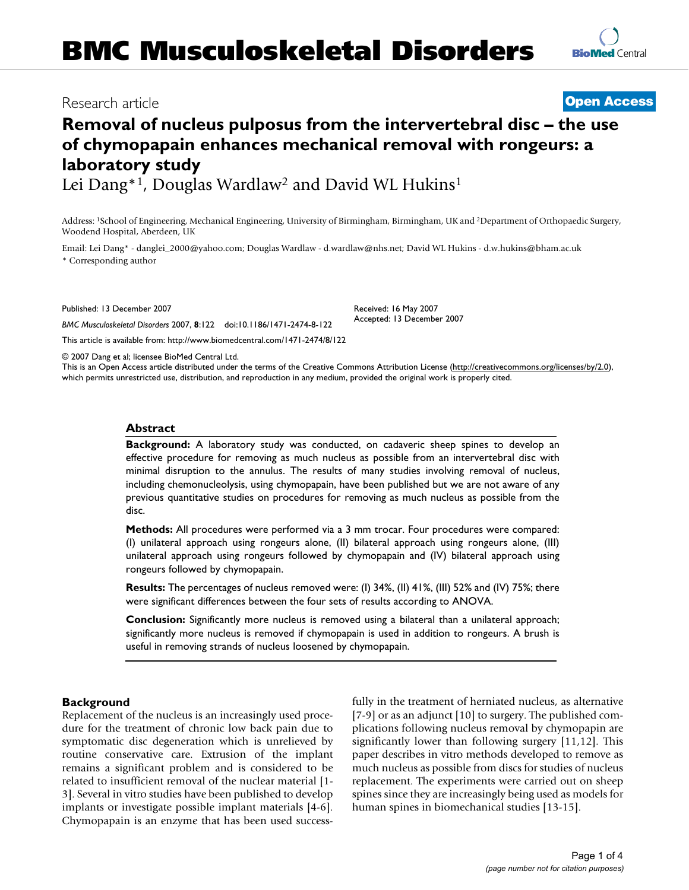## Research article **[Open Access](http://www.biomedcentral.com/info/about/charter/)**

# **Removal of nucleus pulposus from the intervertebral disc – the use of chymopapain enhances mechanical removal with rongeurs: a laboratory study**

Lei Dang<sup>\*1</sup>, Douglas Wardlaw<sup>2</sup> and David WL Hukins<sup>1</sup>

Address: 1School of Engineering, Mechanical Engineering, University of Birmingham, Birmingham, UK and 2Department of Orthopaedic Surgery, Woodend Hospital, Aberdeen, UK

> Received: 16 May 2007 Accepted: 13 December 2007

Email: Lei Dang\* - danglei\_2000@yahoo.com; Douglas Wardlaw - d.wardlaw@nhs.net; David WL Hukins - d.w.hukins@bham.ac.uk \* Corresponding author

Published: 13 December 2007

*BMC Musculoskeletal Disorders* 2007, **8**:122 doi:10.1186/1471-2474-8-122

[This article is available from: http://www.biomedcentral.com/1471-2474/8/122](http://www.biomedcentral.com/1471-2474/8/122)

© 2007 Dang et al; licensee BioMed Central Ltd.

This is an Open Access article distributed under the terms of the Creative Commons Attribution License [\(http://creativecommons.org/licenses/by/2.0\)](http://creativecommons.org/licenses/by/2.0), which permits unrestricted use, distribution, and reproduction in any medium, provided the original work is properly cited.

#### **Abstract**

**Background:** A laboratory study was conducted, on cadaveric sheep spines to develop an effective procedure for removing as much nucleus as possible from an intervertebral disc with minimal disruption to the annulus. The results of many studies involving removal of nucleus, including chemonucleolysis, using chymopapain, have been published but we are not aware of any previous quantitative studies on procedures for removing as much nucleus as possible from the disc.

**Methods:** All procedures were performed via a 3 mm trocar. Four procedures were compared: (I) unilateral approach using rongeurs alone, (II) bilateral approach using rongeurs alone, (III) unilateral approach using rongeurs followed by chymopapain and (IV) bilateral approach using rongeurs followed by chymopapain.

**Results:** The percentages of nucleus removed were: (I) 34%, (II) 41%, (III) 52% and (IV) 75%; there were significant differences between the four sets of results according to ANOVA.

**Conclusion:** Significantly more nucleus is removed using a bilateral than a unilateral approach; significantly more nucleus is removed if chymopapain is used in addition to rongeurs. A brush is useful in removing strands of nucleus loosened by chymopapain.

#### **Background**

Replacement of the nucleus is an increasingly used procedure for the treatment of chronic low back pain due to symptomatic disc degeneration which is unrelieved by routine conservative care. Extrusion of the implant remains a significant problem and is considered to be related to insufficient removal of the nuclear material [1- 3]. Several in vitro studies have been published to develop implants or investigate possible implant materials [4-6]. Chymopapain is an enzyme that has been used successfully in the treatment of herniated nucleus, as alternative [7-9] or as an adjunct [10] to surgery. The published complications following nucleus removal by chymopapin are significantly lower than following surgery [11,12]. This paper describes in vitro methods developed to remove as much nucleus as possible from discs for studies of nucleus replacement. The experiments were carried out on sheep spines since they are increasingly being used as models for human spines in biomechanical studies [13-15].

**[BioMed](http://www.biomedcentral.com/)** Central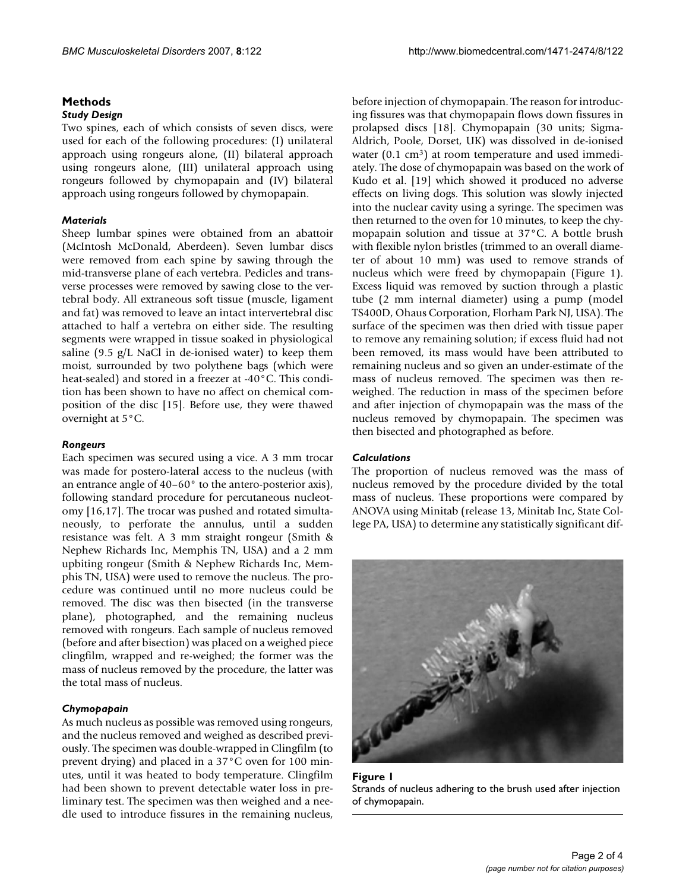# **Methods**

### *Study Design*

Two spines, each of which consists of seven discs, were used for each of the following procedures: (I) unilateral approach using rongeurs alone, (II) bilateral approach using rongeurs alone, (III) unilateral approach using rongeurs followed by chymopapain and (IV) bilateral approach using rongeurs followed by chymopapain.

#### *Materials*

Sheep lumbar spines were obtained from an abattoir (McIntosh McDonald, Aberdeen). Seven lumbar discs were removed from each spine by sawing through the mid-transverse plane of each vertebra. Pedicles and transverse processes were removed by sawing close to the vertebral body. All extraneous soft tissue (muscle, ligament and fat) was removed to leave an intact intervertebral disc attached to half a vertebra on either side. The resulting segments were wrapped in tissue soaked in physiological saline (9.5 g/L NaCl in de-ionised water) to keep them moist, surrounded by two polythene bags (which were heat-sealed) and stored in a freezer at -40°C. This condition has been shown to have no affect on chemical composition of the disc [15]. Before use, they were thawed overnight at 5°C.

#### *Rongeurs*

Each specimen was secured using a vice. A 3 mm trocar was made for postero-lateral access to the nucleus (with an entrance angle of 40–60° to the antero-posterior axis), following standard procedure for percutaneous nucleotomy [16,17]. The trocar was pushed and rotated simultaneously, to perforate the annulus, until a sudden resistance was felt. A 3 mm straight rongeur (Smith & Nephew Richards Inc, Memphis TN, USA) and a 2 mm upbiting rongeur (Smith & Nephew Richards Inc, Memphis TN, USA) were used to remove the nucleus. The procedure was continued until no more nucleus could be removed. The disc was then bisected (in the transverse plane), photographed, and the remaining nucleus removed with rongeurs. Each sample of nucleus removed (before and after bisection) was placed on a weighed piece clingfilm, wrapped and re-weighed; the former was the mass of nucleus removed by the procedure, the latter was the total mass of nucleus.

#### *Chymopapain*

As much nucleus as possible was removed using rongeurs, and the nucleus removed and weighed as described previously. The specimen was double-wrapped in Clingfilm (to prevent drying) and placed in a 37°C oven for 100 minutes, until it was heated to body temperature. Clingfilm had been shown to prevent detectable water loss in preliminary test. The specimen was then weighed and a needle used to introduce fissures in the remaining nucleus,

before injection of chymopapain. The reason for introducing fissures was that chymopapain flows down fissures in prolapsed discs [18]. Chymopapain (30 units; Sigma-Aldrich, Poole, Dorset, UK) was dissolved in de-ionised water  $(0.1 \text{ cm}^3)$  at room temperature and used immediately. The dose of chymopapain was based on the work of Kudo et al. [19] which showed it produced no adverse effects on living dogs. This solution was slowly injected into the nuclear cavity using a syringe. The specimen was then returned to the oven for 10 minutes, to keep the chymopapain solution and tissue at 37°C. A bottle brush with flexible nylon bristles (trimmed to an overall diameter of about 10 mm) was used to remove strands of nucleus which were freed by chymopapain (Figure 1). Excess liquid was removed by suction through a plastic tube (2 mm internal diameter) using a pump (model TS400D, Ohaus Corporation, Florham Park NJ, USA). The surface of the specimen was then dried with tissue paper to remove any remaining solution; if excess fluid had not been removed, its mass would have been attributed to remaining nucleus and so given an under-estimate of the mass of nucleus removed. The specimen was then reweighed. The reduction in mass of the specimen before and after injection of chymopapain was the mass of the nucleus removed by chymopapain. The specimen was then bisected and photographed as before.

#### *Calculations*

The proportion of nucleus removed was the mass of nucleus removed by the procedure divided by the total mass of nucleus. These proportions were compared by ANOVA using Minitab (release 13, Minitab Inc, State College PA, USA) to determine any statistically significant dif-



Figure 1 Strands of nucleus adhering to the brush used after injection of chymopapain.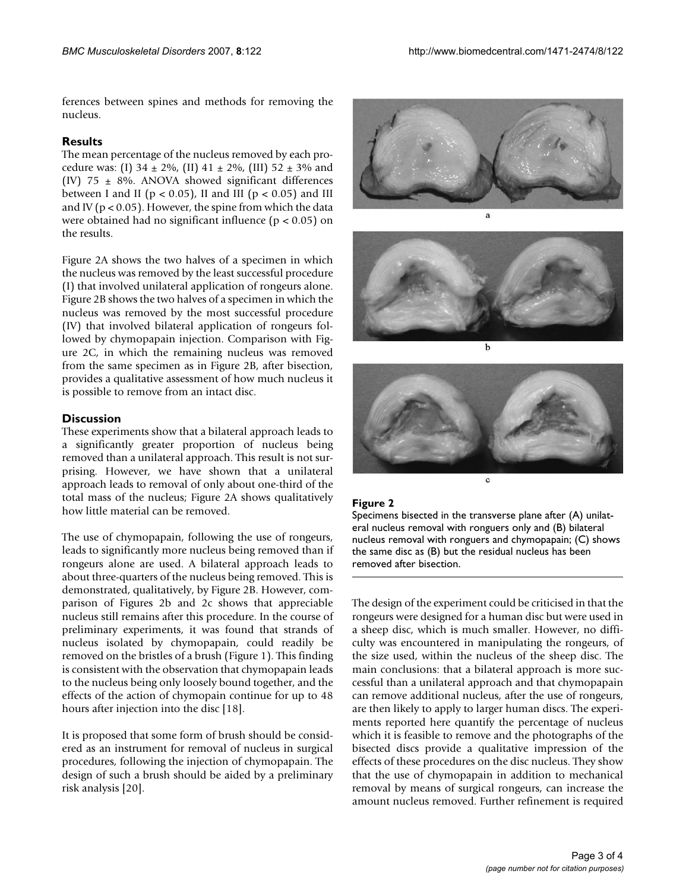ferences between spines and methods for removing the nucleus.

#### **Results**

The mean percentage of the nucleus removed by each procedure was: (I)  $34 \pm 2\%$ , (II)  $41 \pm 2\%$ , (III)  $52 \pm 3\%$  and (IV) 75  $\pm$  8%. ANOVA showed significant differences between I and II ( $p < 0.05$ ), II and III ( $p < 0.05$ ) and III and IV ( $p < 0.05$ ). However, the spine from which the data were obtained had no significant influence ( $p < 0.05$ ) on the results.

Figure 2A shows the two halves of a specimen in which the nucleus was removed by the least successful procedure (I) that involved unilateral application of rongeurs alone. Figure 2B shows the two halves of a specimen in which the nucleus was removed by the most successful procedure (IV) that involved bilateral application of rongeurs followed by chymopapain injection. Comparison with Figure 2C, in which the remaining nucleus was removed from the same specimen as in Figure 2B, after bisection, provides a qualitative assessment of how much nucleus it is possible to remove from an intact disc.

#### **Discussion**

These experiments show that a bilateral approach leads to a significantly greater proportion of nucleus being removed than a unilateral approach. This result is not surprising. However, we have shown that a unilateral approach leads to removal of only about one-third of the total mass of the nucleus; Figure 2A shows qualitatively how little material can be removed.

The use of chymopapain, following the use of rongeurs, leads to significantly more nucleus being removed than if rongeurs alone are used. A bilateral approach leads to about three-quarters of the nucleus being removed. This is demonstrated, qualitatively, by Figure 2B. However, comparison of Figures 2b and 2c shows that appreciable nucleus still remains after this procedure. In the course of preliminary experiments, it was found that strands of nucleus isolated by chymopapain, could readily be removed on the bristles of a brush (Figure 1). This finding is consistent with the observation that chymopapain leads to the nucleus being only loosely bound together, and the effects of the action of chymopain continue for up to 48 hours after injection into the disc [18].

It is proposed that some form of brush should be considered as an instrument for removal of nucleus in surgical procedures, following the injection of chymopapain. The design of such a brush should be aided by a preliminary risk analysis [20].

a





 $\mathbf{c}$ 

#### Figure 2

Specimens bisected in the transverse plane after (A) unilateral nucleus removal with ronguers only and (B) bilateral nucleus removal with ronguers and chymopapain; (C) shows the same disc as (B) but the residual nucleus has been removed after bisection.

The design of the experiment could be criticised in that the rongeurs were designed for a human disc but were used in a sheep disc, which is much smaller. However, no difficulty was encountered in manipulating the rongeurs, of the size used, within the nucleus of the sheep disc. The main conclusions: that a bilateral approach is more successful than a unilateral approach and that chymopapain can remove additional nucleus, after the use of rongeurs, are then likely to apply to larger human discs. The experiments reported here quantify the percentage of nucleus which it is feasible to remove and the photographs of the bisected discs provide a qualitative impression of the effects of these procedures on the disc nucleus. They show that the use of chymopapain in addition to mechanical removal by means of surgical rongeurs, can increase the amount nucleus removed. Further refinement is required